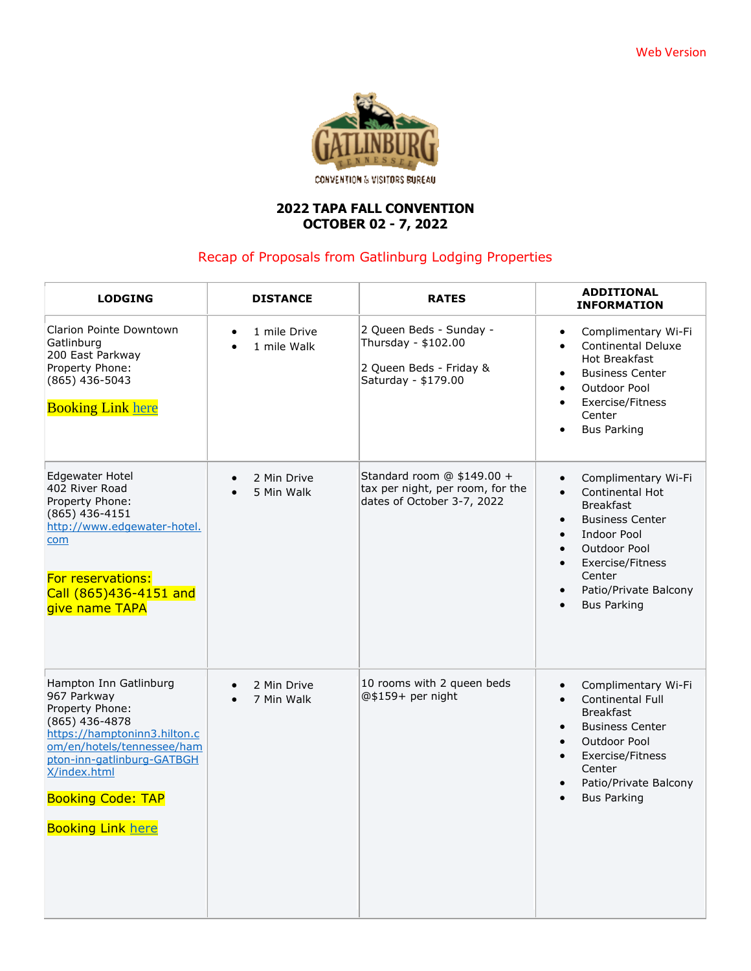

## **2022 TAPA FALL CONVENTION OCTOBER 02 - 7, 2022**

## Recap of Proposals from Gatlinburg Lodging Properties

| <b>LODGING</b>                                                                                                                                                                                                                                 | <b>DISTANCE</b>                                       | <b>RATES</b>                                                                                     | <b>ADDITIONAL</b><br><b>INFORMATION</b>                                                                                                                                                                                                                                                                  |
|------------------------------------------------------------------------------------------------------------------------------------------------------------------------------------------------------------------------------------------------|-------------------------------------------------------|--------------------------------------------------------------------------------------------------|----------------------------------------------------------------------------------------------------------------------------------------------------------------------------------------------------------------------------------------------------------------------------------------------------------|
| <b>Clarion Pointe Downtown</b><br>Gatlinburg<br>200 East Parkway<br>Property Phone:<br>$(865)$ 436-5043<br><b>Booking Link here</b>                                                                                                            | 1 mile Drive<br>$\bullet$<br>1 mile Walk<br>$\bullet$ | 2 Queen Beds - Sunday -<br>Thursday - \$102.00<br>2 Queen Beds - Friday &<br>Saturday - \$179.00 | Complimentary Wi-Fi<br>$\bullet$<br><b>Continental Deluxe</b><br>$\bullet$<br>Hot Breakfast<br><b>Business Center</b><br>$\bullet$<br>Outdoor Pool<br>$\bullet$<br>Exercise/Fitness<br>$\bullet$<br>Center<br><b>Bus Parking</b><br>$\bullet$                                                            |
| <b>Edgewater Hotel</b><br>402 River Road<br>Property Phone:<br>$(865)$ 436-4151<br>http://www.edgewater-hotel.<br>com<br>For reservations:<br>Call (865)436-4151 and<br>give name TAPA                                                         | 2 Min Drive<br>$\bullet$<br>5 Min Walk                | Standard room $@$ \$149.00 +<br>tax per night, per room, for the<br>dates of October 3-7, 2022   | Complimentary Wi-Fi<br>$\bullet$<br>Continental Hot<br>$\bullet$<br><b>Breakfast</b><br><b>Business Center</b><br>$\bullet$<br>Indoor Pool<br>$\bullet$<br>Outdoor Pool<br>$\bullet$<br>Exercise/Fitness<br>$\bullet$<br>Center<br>Patio/Private Balcony<br>$\bullet$<br><b>Bus Parking</b><br>$\bullet$ |
| Hampton Inn Gatlinburg<br>967 Parkway<br>Property Phone:<br>(865) 436-4878<br>https://hamptoninn3.hilton.c<br>om/en/hotels/tennessee/ham<br>pton-inn-gatlinburg-GATBGH<br>X/index.html<br><b>Booking Code: TAP</b><br><b>Booking Link here</b> | 2 Min Drive<br>$\bullet$<br>7 Min Walk<br>$\bullet$   | 10 rooms with 2 queen beds<br>@\$159+ per night                                                  | Complimentary Wi-Fi<br>$\bullet$<br>Continental Full<br>$\bullet$<br><b>Breakfast</b><br><b>Business Center</b><br>$\bullet$<br><b>Outdoor Pool</b><br>$\bullet$<br>Exercise/Fitness<br>$\bullet$<br>Center<br>Patio/Private Balcony<br><b>Bus Parking</b>                                               |